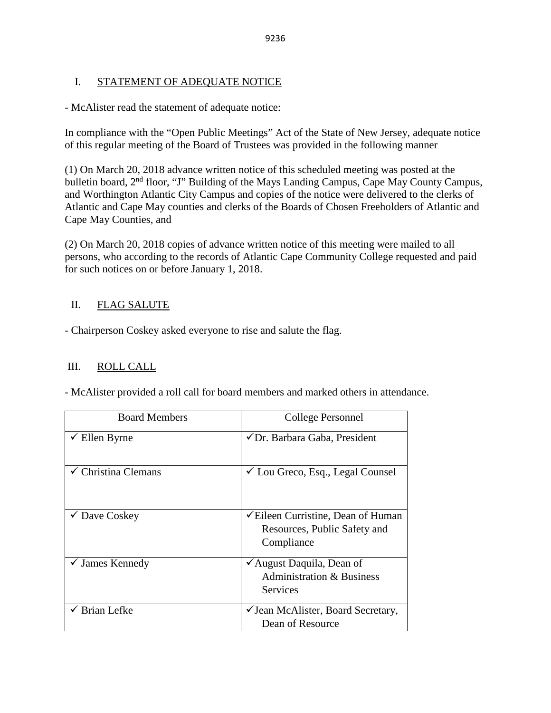## I. STATEMENT OF ADEQUATE NOTICE

- McAlister read the statement of adequate notice:

In compliance with the "Open Public Meetings" Act of the State of New Jersey, adequate notice of this regular meeting of the Board of Trustees was provided in the following manner

(1) On March 20, 2018 advance written notice of this scheduled meeting was posted at the bulletin board, 2<sup>nd</sup> floor, "J" Building of the Mays Landing Campus, Cape May County Campus, and Worthington Atlantic City Campus and copies of the notice were delivered to the clerks of Atlantic and Cape May counties and clerks of the Boards of Chosen Freeholders of Atlantic and Cape May Counties, and

(2) On March 20, 2018 copies of advance written notice of this meeting were mailed to all persons, who according to the records of Atlantic Cape Community College requested and paid for such notices on or before January 1, 2018.

# II. FLAG SALUTE

- Chairperson Coskey asked everyone to rise and salute the flag.

## III. ROLL CALL

- McAlister provided a roll call for board members and marked others in attendance.

| <b>Board Members</b>           | College Personnel                                                                                                   |
|--------------------------------|---------------------------------------------------------------------------------------------------------------------|
| $\checkmark$ Ellen Byrne       | ✔ Dr. Barbara Gaba, President                                                                                       |
| $\checkmark$ Christina Clemans | $\checkmark$ Lou Greco, Esq., Legal Counsel                                                                         |
| $\checkmark$ Dave Coskey       | <del></del> <del></del> <del>⊂</del> Eileen Curristine, Dean of Human<br>Resources, Public Safety and<br>Compliance |
| $\checkmark$ James Kennedy     | $\checkmark$ August Daquila, Dean of<br><b>Administration &amp; Business</b><br>Services                            |
| $\checkmark$ Brian Lefke       | √ Jean McAlister, Board Secretary,<br>Dean of Resource                                                              |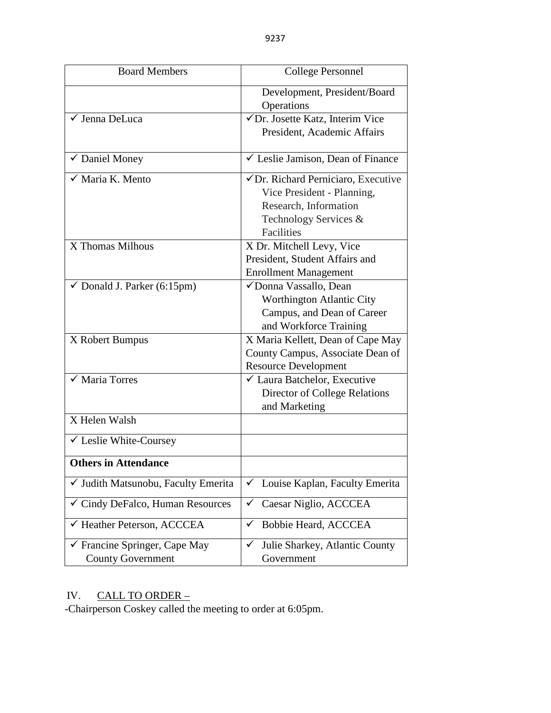| <b>Board Members</b>                                      | <b>College Personnel</b>                          |  |  |
|-----------------------------------------------------------|---------------------------------------------------|--|--|
|                                                           | Development, President/Board                      |  |  |
|                                                           | Operations                                        |  |  |
| √ Jenna DeLuca                                            | $\sqrt{D}$ r. Josette Katz, Interim Vice          |  |  |
|                                                           | President, Academic Affairs                       |  |  |
|                                                           |                                                   |  |  |
| ✔ Daniel Money                                            | $\sqrt{\ }$ Leslie Jamison, Dean of Finance       |  |  |
| √ Maria K. Mento                                          | $\checkmark$ Dr. Richard Perniciaro, Executive    |  |  |
|                                                           | Vice President - Planning,                        |  |  |
|                                                           | Research, Information                             |  |  |
|                                                           | Technology Services &                             |  |  |
|                                                           | <b>Facilities</b>                                 |  |  |
| X Thomas Milhous                                          | X Dr. Mitchell Levy, Vice                         |  |  |
|                                                           | President, Student Affairs and                    |  |  |
|                                                           | <b>Enrollment Management</b>                      |  |  |
| $\checkmark$ Donald J. Parker (6:15pm)                    | √Donna Vassallo, Dean                             |  |  |
|                                                           | Worthington Atlantic City                         |  |  |
|                                                           | Campus, and Dean of Career                        |  |  |
|                                                           | and Workforce Training                            |  |  |
| X Robert Bumpus                                           | X Maria Kellett, Dean of Cape May                 |  |  |
|                                                           | County Campus, Associate Dean of                  |  |  |
|                                                           | <b>Resource Development</b>                       |  |  |
| $\sqrt{\frac{1}{1}}$ Maria Torres                         | ✓ Laura Batchelor, Executive                      |  |  |
|                                                           | Director of College Relations                     |  |  |
|                                                           | and Marketing                                     |  |  |
| X Helen Walsh                                             |                                                   |  |  |
| ✓ Leslie White-Coursey                                    |                                                   |  |  |
| <b>Others in Attendance</b>                               |                                                   |  |  |
| √ Judith Matsunobu, Faculty Emerita                       | Louise Kaplan, Faculty Emerita                    |  |  |
| ✓ Cindy DeFalco, Human Resources                          | Caesar Niglio, ACCCEA<br>✓                        |  |  |
| ← Heather Peterson, ACCCEA                                | Bobbie Heard, ACCCEA<br>✓                         |  |  |
| ✔ Francine Springer, Cape May<br><b>County Government</b> | Julie Sharkey, Atlantic County<br>✓<br>Government |  |  |

## IV. CALL TO ORDER –

-Chairperson Coskey called the meeting to order at 6:05pm.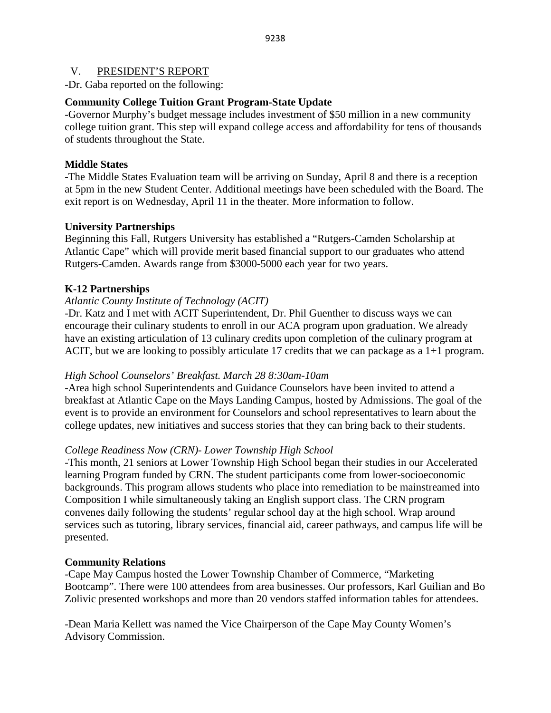#### V. PRESIDENT'S REPORT

-Dr. Gaba reported on the following:

#### **Community College Tuition Grant Program-State Update**

-Governor Murphy's budget message includes investment of \$50 million in a new community college tuition grant. This step will expand college access and affordability for tens of thousands of students throughout the State.

#### **Middle States**

-The Middle States Evaluation team will be arriving on Sunday, April 8 and there is a reception at 5pm in the new Student Center. Additional meetings have been scheduled with the Board. The exit report is on Wednesday, April 11 in the theater. More information to follow.

#### **University Partnerships**

Beginning this Fall, Rutgers University has established a "Rutgers-Camden Scholarship at Atlantic Cape" which will provide merit based financial support to our graduates who attend Rutgers-Camden. Awards range from \$3000-5000 each year for two years.

#### **K-12 Partnerships**

#### *Atlantic County Institute of Technology (ACIT)*

-Dr. Katz and I met with ACIT Superintendent, Dr. Phil Guenther to discuss ways we can encourage their culinary students to enroll in our ACA program upon graduation. We already have an existing articulation of 13 culinary credits upon completion of the culinary program at ACIT, but we are looking to possibly articulate 17 credits that we can package as a 1+1 program.

#### *High School Counselors' Breakfast. March 28 8:30am-10am*

-Area high school Superintendents and Guidance Counselors have been invited to attend a breakfast at Atlantic Cape on the Mays Landing Campus, hosted by Admissions. The goal of the event is to provide an environment for Counselors and school representatives to learn about the college updates, new initiatives and success stories that they can bring back to their students.

#### *College Readiness Now (CRN)- Lower Township High School*

-This month, 21 seniors at Lower Township High School began their studies in our Accelerated learning Program funded by CRN. The student participants come from lower-socioeconomic backgrounds. This program allows students who place into remediation to be mainstreamed into Composition I while simultaneously taking an English support class. The CRN program convenes daily following the students' regular school day at the high school. Wrap around services such as tutoring, library services, financial aid, career pathways, and campus life will be presented.

#### **Community Relations**

-Cape May Campus hosted the Lower Township Chamber of Commerce, "Marketing Bootcamp". There were 100 attendees from area businesses. Our professors, Karl Guilian and Bo Zolivic presented workshops and more than 20 vendors staffed information tables for attendees.

-Dean Maria Kellett was named the Vice Chairperson of the Cape May County Women's Advisory Commission.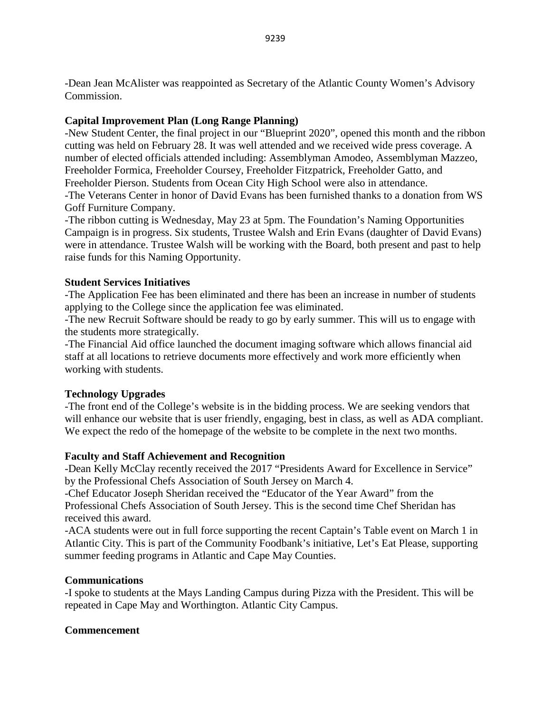## **Capital Improvement Plan (Long Range Planning)**

-New Student Center, the final project in our "Blueprint 2020", opened this month and the ribbon cutting was held on February 28. It was well attended and we received wide press coverage. A number of elected officials attended including: Assemblyman Amodeo, Assemblyman Mazzeo, Freeholder Formica, Freeholder Coursey, Freeholder Fitzpatrick, Freeholder Gatto, and Freeholder Pierson. Students from Ocean City High School were also in attendance. -The Veterans Center in honor of David Evans has been furnished thanks to a donation from WS Goff Furniture Company.

-The ribbon cutting is Wednesday, May 23 at 5pm. The Foundation's Naming Opportunities Campaign is in progress. Six students, Trustee Walsh and Erin Evans (daughter of David Evans) were in attendance. Trustee Walsh will be working with the Board, both present and past to help raise funds for this Naming Opportunity.

#### **Student Services Initiatives**

-The Application Fee has been eliminated and there has been an increase in number of students applying to the College since the application fee was eliminated.

-The new Recruit Software should be ready to go by early summer. This will us to engage with the students more strategically.

-The Financial Aid office launched the document imaging software which allows financial aid staff at all locations to retrieve documents more effectively and work more efficiently when working with students.

## **Technology Upgrades**

-The front end of the College's website is in the bidding process. We are seeking vendors that will enhance our website that is user friendly, engaging, best in class, as well as ADA compliant. We expect the redo of the homepage of the website to be complete in the next two months.

## **Faculty and Staff Achievement and Recognition**

-Dean Kelly McClay recently received the 2017 "Presidents Award for Excellence in Service" by the Professional Chefs Association of South Jersey on March 4.

-Chef Educator Joseph Sheridan received the "Educator of the Year Award" from the Professional Chefs Association of South Jersey. This is the second time Chef Sheridan has received this award.

-ACA students were out in full force supporting the recent Captain's Table event on March 1 in Atlantic City. This is part of the Community Foodbank's initiative, Let's Eat Please, supporting summer feeding programs in Atlantic and Cape May Counties.

## **Communications**

-I spoke to students at the Mays Landing Campus during Pizza with the President. This will be repeated in Cape May and Worthington. Atlantic City Campus.

## **Commencement**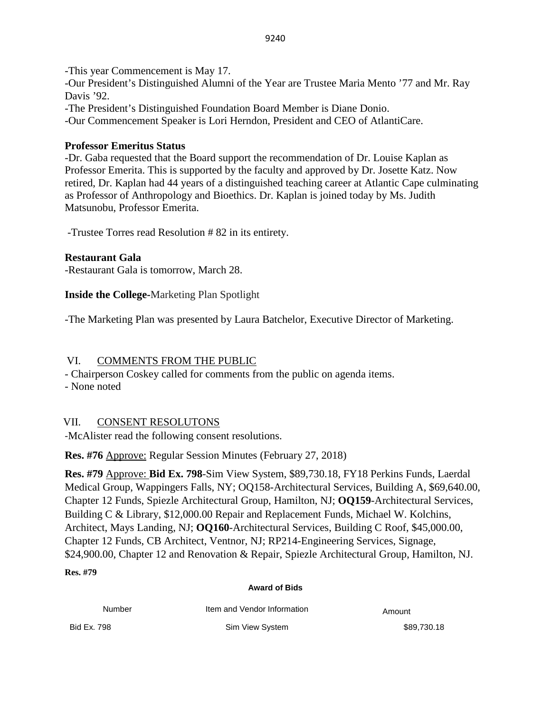-This year Commencement is May 17.

-Our President's Distinguished Alumni of the Year are Trustee Maria Mento '77 and Mr. Ray Davis '92.

-The President's Distinguished Foundation Board Member is Diane Donio.

-Our Commencement Speaker is Lori Herndon, President and CEO of AtlantiCare.

# **Professor Emeritus Status**

-Dr. Gaba requested that the Board support the recommendation of Dr. Louise Kaplan as Professor Emerita. This is supported by the faculty and approved by Dr. Josette Katz. Now retired, Dr. Kaplan had 44 years of a distinguished teaching career at Atlantic Cape culminating as Professor of Anthropology and Bioethics. Dr. Kaplan is joined today by Ms. Judith Matsunobu, Professor Emerita.

-Trustee Torres read Resolution # 82 in its entirety.

# **Restaurant Gala**

-Restaurant Gala is tomorrow, March 28.

**Inside the College-**Marketing Plan Spotlight

-The Marketing Plan was presented by Laura Batchelor, Executive Director of Marketing.

# VI. COMMENTS FROM THE PUBLIC

- Chairperson Coskey called for comments from the public on agenda items.

- None noted

# VII. CONSENT RESOLUTONS

-McAlister read the following consent resolutions.

**Res. #76** Approve: Regular Session Minutes (February 27, 2018)

**Res. #79** Approve: **Bid Ex. 798**-Sim View System, \$89,730.18, FY18 Perkins Funds, Laerdal Medical Group, Wappingers Falls, NY; OQ158-Architectural Services, Building A, \$69,640.00, Chapter 12 Funds, Spiezle Architectural Group, Hamilton, NJ; **OQ159**-Architectural Services, Building C & Library, \$12,000.00 Repair and Replacement Funds, Michael W. Kolchins, Architect, Mays Landing, NJ; **OQ160**-Architectural Services, Building C Roof, \$45,000.00, Chapter 12 Funds, CB Architect, Ventnor, NJ; RP214-Engineering Services, Signage, \$24,900.00, Chapter 12 and Renovation & Repair, Spiezle Architectural Group, Hamilton, NJ.

## **Res. #79**

#### **Award of Bids**

| Number      | Item and Vendor Information | Amount      |
|-------------|-----------------------------|-------------|
| Bid Ex. 798 | Sim View System             | \$89.730.18 |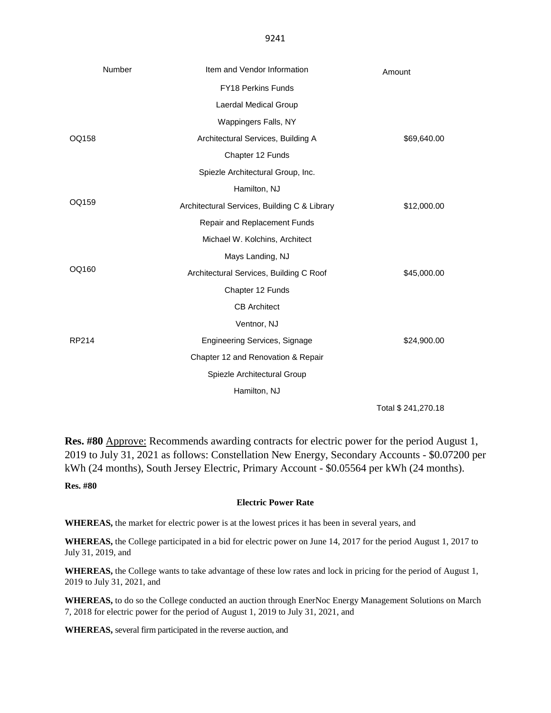9241

|       | Number               | Item and Vendor Information                  | Amount              |
|-------|----------------------|----------------------------------------------|---------------------|
|       |                      | FY18 Perkins Funds                           |                     |
|       |                      | Laerdal Medical Group                        |                     |
| OQ158 | Wappingers Falls, NY |                                              |                     |
|       |                      | Architectural Services, Building A           | \$69,640.00         |
|       |                      | Chapter 12 Funds                             |                     |
|       |                      | Spiezle Architectural Group, Inc.            |                     |
|       |                      | Hamilton, NJ                                 |                     |
| OQ159 |                      | Architectural Services, Building C & Library | \$12,000.00         |
|       |                      | Repair and Replacement Funds                 |                     |
|       |                      | Michael W. Kolchins, Architect               |                     |
| OQ160 | Mays Landing, NJ     |                                              |                     |
|       |                      | Architectural Services, Building C Roof      | \$45,000.00         |
|       |                      | Chapter 12 Funds                             |                     |
|       |                      | <b>CB</b> Architect                          |                     |
| RP214 | Ventnor, NJ          |                                              |                     |
|       |                      | <b>Engineering Services, Signage</b>         | \$24,900.00         |
|       |                      | Chapter 12 and Renovation & Repair           |                     |
|       |                      | Spiezle Architectural Group                  |                     |
|       |                      | Hamilton, NJ                                 |                     |
|       |                      |                                              | Total \$ 241,270.18 |

**Res. #80** Approve: Recommends awarding contracts for electric power for the period August 1, 2019 to July 31, 2021 as follows: Constellation New Energy, Secondary Accounts - \$0.07200 per kWh (24 months), South Jersey Electric, Primary Account - \$0.05564 per kWh (24 months).

**Res. #80**

#### **Electric Power Rate**

**WHEREAS,** the market for electric power is at the lowest prices it has been in several years, and

**WHEREAS,** the College participated in a bid for electric power on June 14, 2017 for the period August 1, 2017 to July 31, 2019, and

**WHEREAS,** the College wants to take advantage of these low rates and lock in pricing for the period of August 1, 2019 to July 31, 2021, and

WHEREAS, to do so the College conducted an auction through EnerNoc Energy Management Solutions on March 7, 2018 for electric power for the period of August 1, 2019 to July 31, 2021, and

**WHEREAS,** several firm participated in the reverse auction, and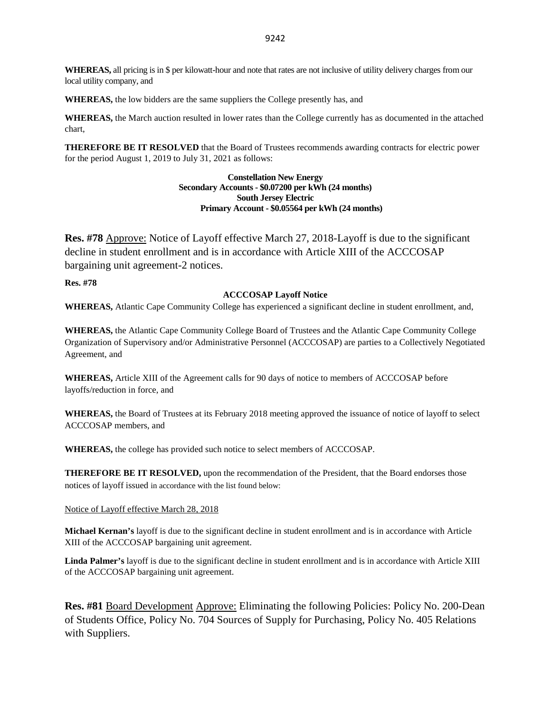**WHEREAS,** all pricing is in \$ per kilowatt-hour and note that rates are not inclusive of utility delivery charges from our local utility company, and

**WHEREAS,** the low bidders are the same suppliers the College presently has, and

**WHEREAS,** the March auction resulted in lower rates than the College currently has as documented in the attached chart,

**THEREFORE BE IT RESOLVED** that the Board of Trustees recommends awarding contracts for electric power for the period August 1, 2019 to July 31, 2021 as follows:

#### **Constellation New Energy Secondary Accounts - \$0.07200 per kWh (24 months) South Jersey Electric Primary Account - \$0.05564 per kWh (24 months)**

**Res. #78** Approve: Notice of Layoff effective March 27, 2018-Layoff is due to the significant decline in student enrollment and is in accordance with Article XIII of the ACCCOSAP bargaining unit agreement-2 notices.

**Res. #78**

#### **ACCCOSAP Layoff Notice**

**WHEREAS,** Atlantic Cape Community College has experienced a significant decline in student enrollment, and,

**WHEREAS,** the Atlantic Cape Community College Board of Trustees and the Atlantic Cape Community College Organization of Supervisory and/or Administrative Personnel (ACCCOSAP) are parties to a Collectively Negotiated Agreement, and

**WHEREAS,** Article XIII of the Agreement calls for 90 days of notice to members of ACCCOSAP before layoffs/reduction in force, and

**WHEREAS,** the Board of Trustees at its February 2018 meeting approved the issuance of notice of layoff to select ACCCOSAP members, and

**WHEREAS,** the college has provided such notice to select members of ACCCOSAP.

**THEREFORE BE IT RESOLVED,** upon the recommendation of the President, that the Board endorses those notices of layoff issued in accordance with the list found below:

#### Notice of Layoff effective March 28, 2018

**Michael Kernan's** layoff is due to the significant decline in student enrollment and is in accordance with Article XIII of the ACCCOSAP bargaining unit agreement.

**Linda Palmer's** layoff is due to the significant decline in student enrollment and is in accordance with Article XIII of the ACCCOSAP bargaining unit agreement.

**Res. #81** Board Development Approve: Eliminating the following Policies: Policy No. 200-Dean of Students Office, Policy No. 704 Sources of Supply for Purchasing, Policy No. 405 Relations with Suppliers.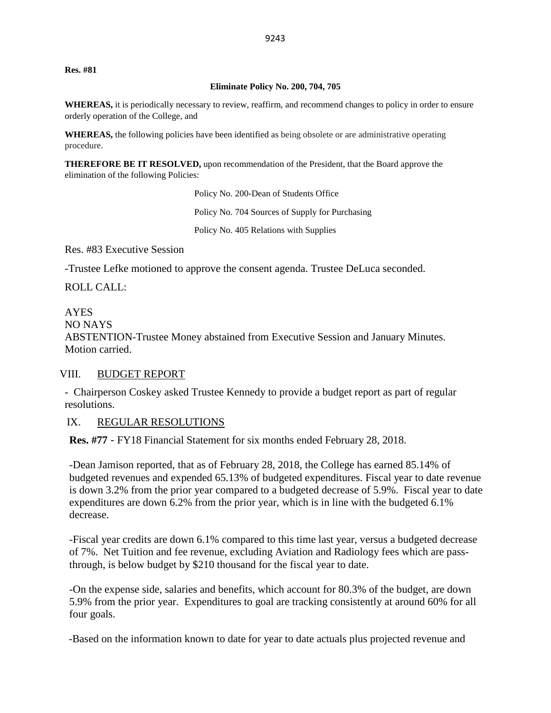**Res. #81**

#### **Eliminate Policy No. 200, 704, 705**

**WHEREAS,** it is periodically necessary to review, reaffirm, and recommend changes to policy in order to ensure orderly operation of the College, and

**WHEREAS,** the following policies have been identified as being obsolete or are administrative operating procedure.

**THEREFORE BE IT RESOLVED,** upon recommendation of the President, that the Board approve the elimination of the following Policies:

> Policy No. 200-Dean of Students Office Policy No. 704 Sources of Supply for Purchasing Policy No. 405 Relations with Supplies

Res. #83 Executive Session

-Trustee Lefke motioned to approve the consent agenda. Trustee DeLuca seconded.

ROLL CALL:

AYES NO NAYS ABSTENTION-Trustee Money abstained from Executive Session and January Minutes. Motion carried.

#### VIII. BUDGET REPORT

- Chairperson Coskey asked Trustee Kennedy to provide a budget report as part of regular resolutions.

#### IX. REGULAR RESOLUTIONS

**Res. #77** - FY18 Financial Statement for six months ended February 28, 2018.

-Dean Jamison reported, that as of February 28, 2018, the College has earned 85.14% of budgeted revenues and expended 65.13% of budgeted expenditures. Fiscal year to date revenue is down 3.2% from the prior year compared to a budgeted decrease of 5.9%. Fiscal year to date expenditures are down 6.2% from the prior year, which is in line with the budgeted 6.1% decrease.

-Fiscal year credits are down 6.1% compared to this time last year, versus a budgeted decrease of 7%. Net Tuition and fee revenue, excluding Aviation and Radiology fees which are passthrough, is below budget by \$210 thousand for the fiscal year to date.

-On the expense side, salaries and benefits, which account for 80.3% of the budget, are down 5.9% from the prior year. Expenditures to goal are tracking consistently at around 60% for all four goals.

-Based on the information known to date for year to date actuals plus projected revenue and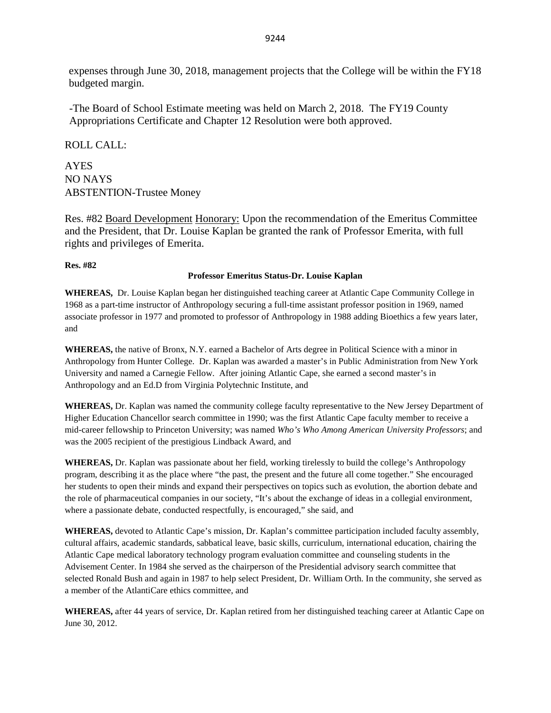expenses through June 30, 2018, management projects that the College will be within the FY18 budgeted margin.

-The Board of School Estimate meeting was held on March 2, 2018. The FY19 County Appropriations Certificate and Chapter 12 Resolution were both approved.

ROLL CALL:

AYES NO NAYS ABSTENTION-Trustee Money

Res. #82 Board Development Honorary: Upon the recommendation of the Emeritus Committee and the President, that Dr. Louise Kaplan be granted the rank of Professor Emerita, with full rights and privileges of Emerita.

#### **Res. #82**

#### **Professor Emeritus Status-Dr. Louise Kaplan**

**WHEREAS,** Dr. Louise Kaplan began her distinguished teaching career at Atlantic Cape Community College in 1968 as a part-time instructor of Anthropology securing a full-time assistant professor position in 1969, named associate professor in 1977 and promoted to professor of Anthropology in 1988 adding Bioethics a few years later, and

**WHEREAS,** the native of Bronx, N.Y. earned a Bachelor of Arts degree in Political Science with a minor in Anthropology from Hunter College. Dr. Kaplan was awarded a master's in Public Administration from New York University and named a Carnegie Fellow. After joining Atlantic Cape, she earned a second master's in Anthropology and an Ed.D from Virginia Polytechnic Institute, and

**WHEREAS,** Dr. Kaplan was named the community college faculty representative to the New Jersey Department of Higher Education Chancellor search committee in 1990; was the first Atlantic Cape faculty member to receive a mid-career fellowship to Princeton University; was named *Who's Who Among American University Professors*; and was the 2005 recipient of the prestigious Lindback Award, and

**WHEREAS,** Dr. Kaplan was passionate about her field, working tirelessly to build the college's Anthropology program, describing it as the place where "the past, the present and the future all come together." She encouraged her students to open their minds and expand their perspectives on topics such as evolution, the abortion debate and the role of pharmaceutical companies in our society, "It's about the exchange of ideas in a collegial environment, where a passionate debate, conducted respectfully, is encouraged," she said, and

**WHEREAS,** devoted to Atlantic Cape's mission, Dr. Kaplan's committee participation included faculty assembly, cultural affairs, academic standards, sabbatical leave, basic skills, curriculum, international education, chairing the Atlantic Cape medical laboratory technology program evaluation committee and counseling students in the Advisement Center. In 1984 she served as the chairperson of the Presidential advisory search committee that selected Ronald Bush and again in 1987 to help select President, Dr. William Orth. In the community, she served as a member of the AtlantiCare ethics committee, and

**WHEREAS,** after 44 years of service, Dr. Kaplan retired from her distinguished teaching career at Atlantic Cape on June 30, 2012.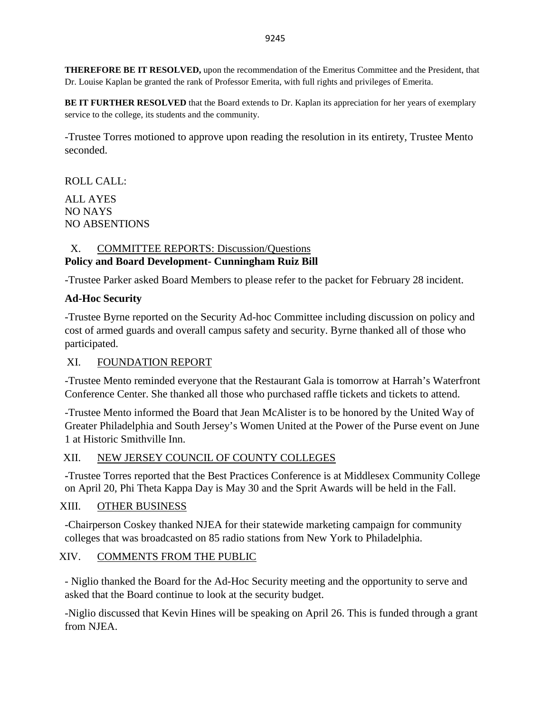**THEREFORE BE IT RESOLVED,** upon the recommendation of the Emeritus Committee and the President, that Dr. Louise Kaplan be granted the rank of Professor Emerita, with full rights and privileges of Emerita.

**BE IT FURTHER RESOLVED** that the Board extends to Dr. Kaplan its appreciation for her years of exemplary service to the college, its students and the community.

-Trustee Torres motioned to approve upon reading the resolution in its entirety, Trustee Mento seconded.

ROLL CALL: ALL AYES NO NAYS NO ABSENTIONS

### X. COMMITTEE REPORTS: Discussion/Questions **Policy and Board Development- Cunningham Ruiz Bill**

-Trustee Parker asked Board Members to please refer to the packet for February 28 incident.

# **Ad-Hoc Security**

-Trustee Byrne reported on the Security Ad-hoc Committee including discussion on policy and cost of armed guards and overall campus safety and security. Byrne thanked all of those who participated.

## XI. FOUNDATION REPORT

-Trustee Mento reminded everyone that the Restaurant Gala is tomorrow at Harrah's Waterfront Conference Center. She thanked all those who purchased raffle tickets and tickets to attend.

-Trustee Mento informed the Board that Jean McAlister is to be honored by the United Way of Greater Philadelphia and South Jersey's Women United at the Power of the Purse event on June 1 at Historic Smithville Inn.

## XII. NEW JERSEY COUNCIL OF COUNTY COLLEGES

**-**Trustee Torres reported that the Best Practices Conference is at Middlesex Community College on April 20, Phi Theta Kappa Day is May 30 and the Sprit Awards will be held in the Fall.

# XIII. OTHER BUSINESS

-Chairperson Coskey thanked NJEA for their statewide marketing campaign for community colleges that was broadcasted on 85 radio stations from New York to Philadelphia.

# XIV. COMMENTS FROM THE PUBLIC

- Niglio thanked the Board for the Ad-Hoc Security meeting and the opportunity to serve and asked that the Board continue to look at the security budget.

-Niglio discussed that Kevin Hines will be speaking on April 26. This is funded through a grant from NJEA.